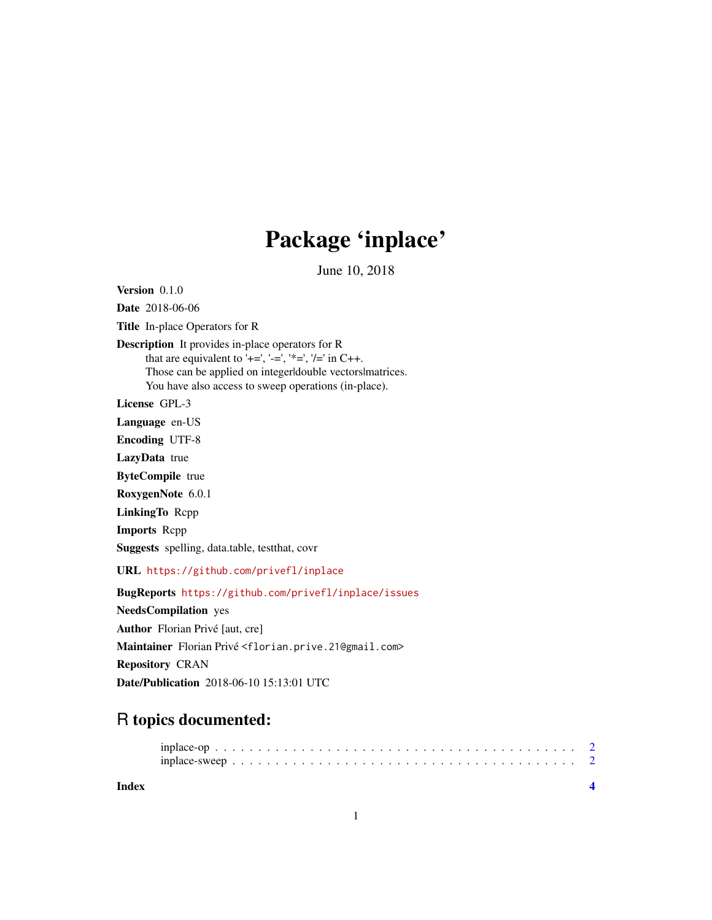# Package 'inplace'

June 10, 2018

Version 0.1.0 Date 2018-06-06 Title In-place Operators for R Description It provides in-place operators for R that are equivalent to '+=', '-=', '\*=', '/=' in C++. Those can be applied on integer|double vectors|matrices. You have also access to sweep operations (in-place). License GPL-3 Language en-US Encoding UTF-8 LazyData true ByteCompile true RoxygenNote 6.0.1 LinkingTo Rcpp Imports Rcpp Suggests spelling, data.table, testthat, covr URL <https://github.com/privefl/inplace> BugReports <https://github.com/privefl/inplace/issues> NeedsCompilation yes Author Florian Privé [aut, cre] Maintainer Florian Privé <florian.prive.21@gmail.com> Repository CRAN Date/Publication 2018-06-10 15:13:01 UTC

## R topics documented:

**Index** [4](#page-3-0)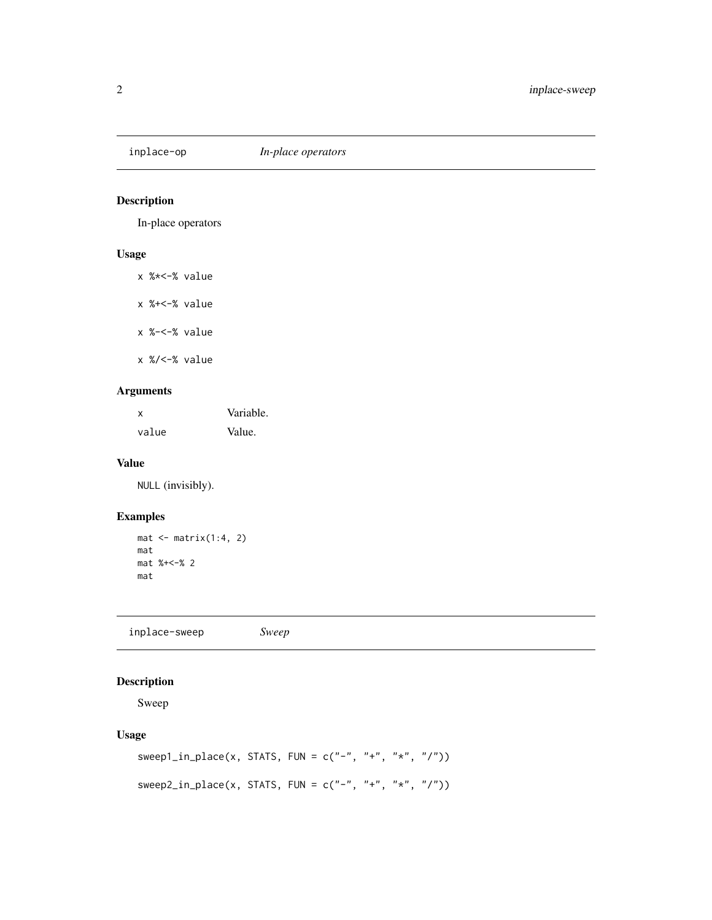<span id="page-1-0"></span>

#### Description

In-place operators

#### Usage

| x %*<−% value |  |
|---------------|--|

x %+<-% value

x %-<-% value

x %/<-% value

#### Arguments

| x     | Variable. |
|-------|-----------|
| value | Value.    |

#### Value

NULL (invisibly).

#### Examples

```
mat < -matrix(1:4, 2)mat
mat %+<-% 2
mat
```
inplace-sweep *Sweep*

#### Description

Sweep

#### Usage

```
sweep1_in_place(x, STATS, FUN = c("-", "+", "*", "/")))
sweep2_in_place(x, STATS, FUN = c("-"," "+", "*", "/"))
```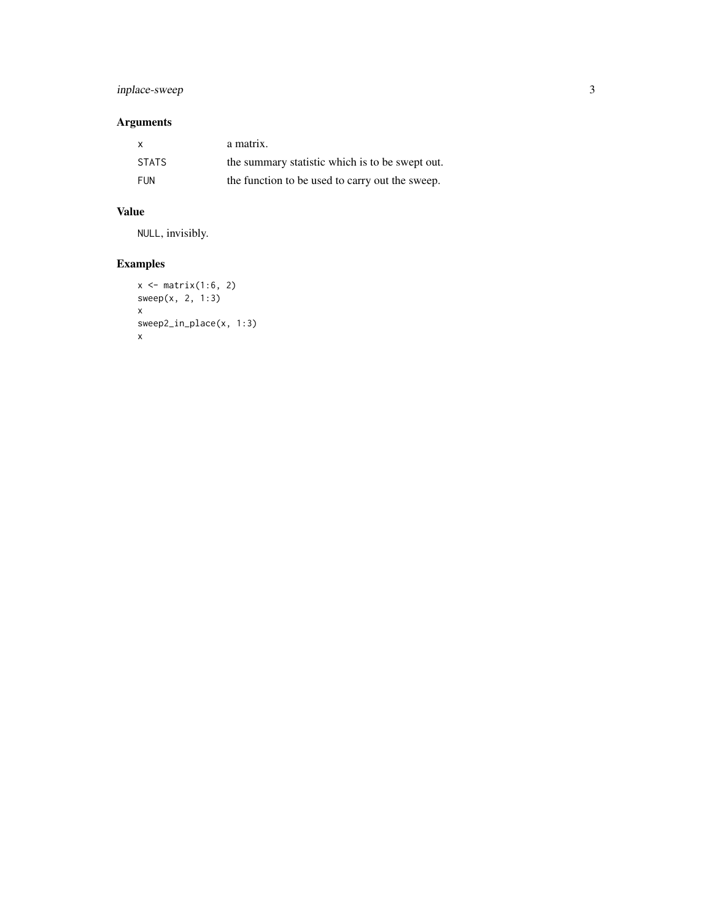#### inplace-sweep 3

#### Arguments

| X            | a matrix.                                       |
|--------------|-------------------------------------------------|
| <b>STATS</b> | the summary statistic which is to be swept out. |
| FUN          | the function to be used to carry out the sweep. |

#### Value

NULL, invisibly.

### Examples

```
x \leftarrow \text{matrix}(1:6, 2)sweep(x, 2, 1:3)
x
sweep2_in_place(x, 1:3)
x
```